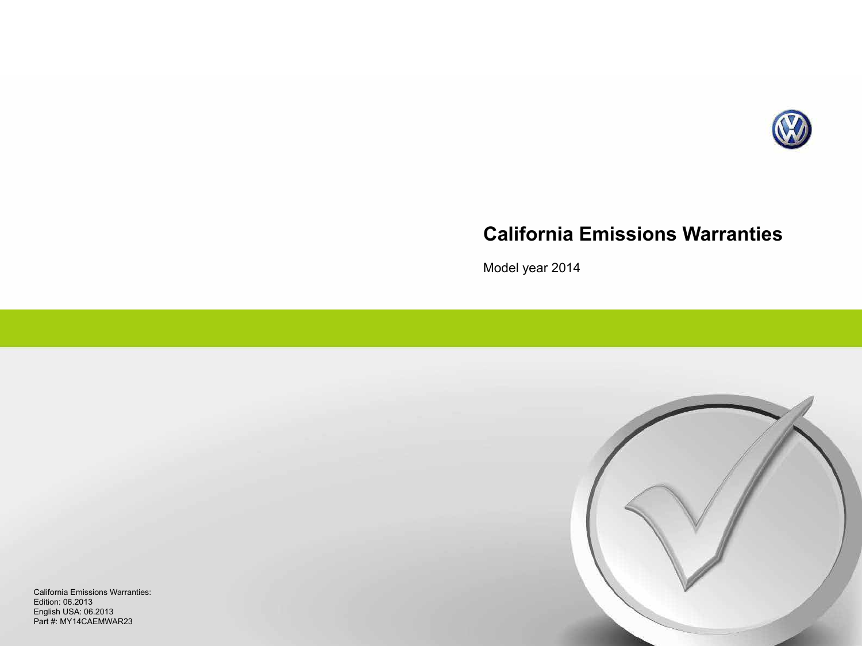

# **California Emissions Warranties**

Model year 2014



California Emissions Warranties: Edition: 06.2013 English USA: 06.2013 Part #: MY14CAEMWAR23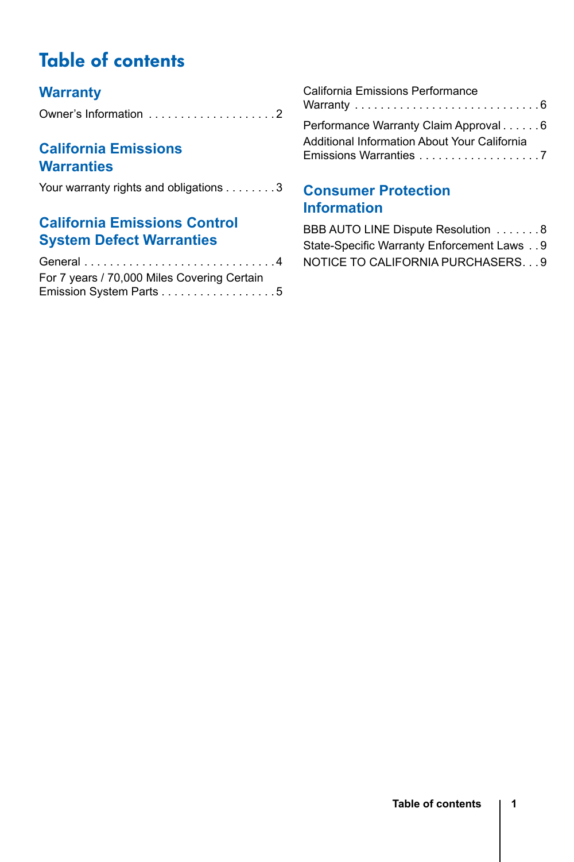# Table of contents

### **[Warranty](#page-2-0)**

### **[California Emissions](#page-3-0)  [Warranties](#page-3-0)**

[Your warranty rights and obligations . . . . . . . 3](#page-3-0)

### **[California Emissions Control](#page-4-0)  [System Defect Warranties](#page-4-0)**

| For 7 years / 70,000 Miles Covering Certain |
|---------------------------------------------|
| Emission System Parts 5                     |

| California Emissions Performance                                       |  |
|------------------------------------------------------------------------|--|
| Performance Warranty Claim Approval 6                                  |  |
| Additional Information About Your California<br>Emissions Warranties 7 |  |

### **[Consumer Protection](#page-8-0)  [Information](#page-8-0)**

BBB AUTO LINE Dispute Resolution . . . . . . . 8 [State-Specific Warranty Enforcement Laws](#page-9-0) . . 9 NOTICE TO CALIFORNIA PURCHASERS. . . 9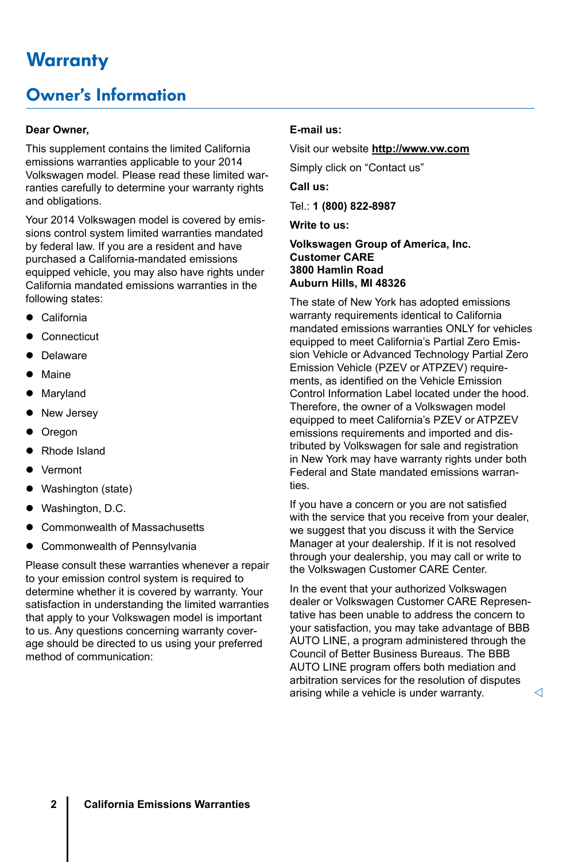# <span id="page-2-0"></span>**Warranty**

## Owner's Information

#### **Dear Owner,**

This supplement contains the limited California emissions warranties applicable to your 2014 Volkswagen model. Please read these limited warranties carefully to determine your warranty rights and obligations.

Your 2014 Volkswagen model is covered by emissions control system limited warranties mandated by federal law. If you are a resident and have purchased a California-mandated emissions equipped vehicle, you may also have rights under California mandated emissions warranties in the following states:

- $\bullet$  California
- Connecticut
- Delaware
- $\bullet$  Maine
- Maryland
- New Jersey
- Oregon
- Rhode Island
- **Vermont**
- Washington (state)
- Washington, D.C.
- Commonwealth of Massachusetts
- Commonwealth of Pennsylvania

Please consult these warranties whenever a repair to your emission control system is required to determine whether it is covered by warranty. Your satisfaction in understanding the limited warranties that apply to your Volkswagen model is important to us. Any questions concerning warranty coverage should be directed to us using your preferred method of communication:

#### **E-mail us:**

Visit our website **http://www.vw.com**

Simply click on "Contact us"

**Call us:**

Tel.: **1 (800) 822-8987**

**Write to us:**

**Volkswagen Group of America, Inc. Customer CARE 3800 Hamlin Road Auburn Hills, MI 48326**

The state of New York has adopted emissions warranty requirements identical to California mandated emissions warranties ONLY for vehicles equipped to meet California's Partial Zero Emission Vehicle or Advanced Technology Partial Zero Emission Vehicle (PZEV or ATPZEV) requirements, as identified on the Vehicle Emission Control Information Label located under the hood. Therefore, the owner of a Volkswagen model equipped to meet California's PZEV or ATPZEV emissions requirements and imported and distributed by Volkswagen for sale and registration in New York may have warranty rights under both Federal and State mandated emissions warranties.

If you have a concern or you are not satisfied with the service that you receive from your dealer, we suggest that you discuss it with the Service Manager at your dealership. If it is not resolved through your dealership, you may call or write to the Volkswagen Customer CARE Center.

In the event that your authorized Volkswagen dealer or Volkswagen Customer CARE Representative has been unable to address the concern to your satisfaction, you may take advantage of BBB AUTO LINE, a program administered through the Council of Better Business Bureaus. The BBB AUTO LINE program offers both mediation and arbitration services for the resolution of disputes arising while a vehicle is under warranty.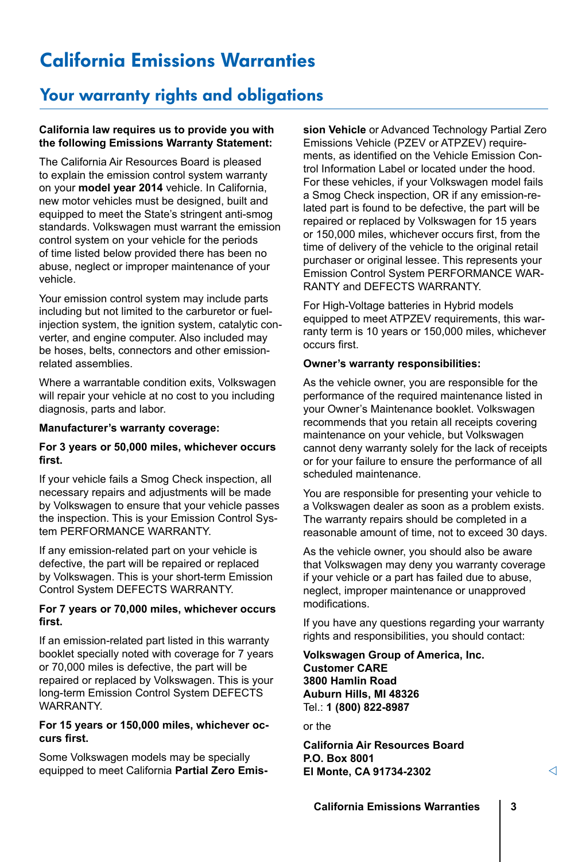# <span id="page-3-0"></span>California Emissions Warranties

### Your warranty rights and obligations

#### **California law requires us to provide you with the following Emissions Warranty Statement:**

The California Air Resources Board is pleased to explain the emission control system warranty on your **model year 2014** vehicle. In California, new motor vehicles must be designed, built and equipped to meet the State's stringent anti-smog standards. Volkswagen must warrant the emission control system on your vehicle for the periods of time listed below provided there has been no abuse, neglect or improper maintenance of your vehicle.

Your emission control system may include parts including but not limited to the carburetor or fuelinjection system, the ignition system, catalytic converter, and engine computer. Also included may be hoses, belts, connectors and other emissionrelated assemblies.

Where a warrantable condition exits, Volkswagen will repair your vehicle at no cost to you including diagnosis, parts and labor.

#### **Manufacturer's warranty coverage:**

#### **For 3 years or 50,000 miles, whichever occurs first.**

If your vehicle fails a Smog Check inspection, all necessary repairs and adjustments will be made by Volkswagen to ensure that your vehicle passes the inspection. This is your Emission Control System PERFORMANCE WARRANTY.

If any emission-related part on your vehicle is defective, the part will be repaired or replaced by Volkswagen. This is your short-term Emission Control System DEFECTS WARRANTY.

#### **For 7 years or 70,000 miles, whichever occurs first.**

If an emission-related part listed in this warranty booklet specially noted with coverage for 7 years or 70,000 miles is defective, the part will be repaired or replaced by Volkswagen. This is your long-term Emission Control System DEFECTS WARRANTY.

#### **For 15 years or 150,000 miles, whichever occurs first.**

Some Volkswagen models may be specially equipped to meet California **Partial Zero Emis-** **sion Vehicle** or Advanced Technology Partial Zero Emissions Vehicle (PZEV or ATPZEV) requirements, as identified on the Vehicle Emission Control Information Label or located under the hood. For these vehicles, if your Volkswagen model fails a Smog Check inspection, OR if any emission-related part is found to be defective, the part will be repaired or replaced by Volkswagen for 15 years or 150,000 miles, whichever occurs first, from the time of delivery of the vehicle to the original retail purchaser or original lessee. This represents your Emission Control System PERFORMANCE WAR-RANTY and DEFECTS WARRANTY.

For High-Voltage batteries in Hybrid models equipped to meet ATPZEV requirements, this warranty term is 10 years or 150,000 miles, whichever occurs first.

#### **Owner's warranty responsibilities:**

As the vehicle owner, you are responsible for the performance of the required maintenance listed in your Owner's Maintenance booklet. Volkswagen recommends that you retain all receipts covering maintenance on your vehicle, but Volkswagen cannot deny warranty solely for the lack of receipts or for your failure to ensure the performance of all scheduled maintenance.

You are responsible for presenting your vehicle to a Volkswagen dealer as soon as a problem exists. The warranty repairs should be completed in a reasonable amount of time, not to exceed 30 days.

As the vehicle owner, you should also be aware that Volkswagen may deny you warranty coverage if your vehicle or a part has failed due to abuse, neglect, improper maintenance or unapproved modifications.

If you have any questions regarding your warranty rights and responsibilities, you should contact:

**Volkswagen Group of America, Inc. Customer CARE 3800 Hamlin Road Auburn Hills, MI 48326** Tel.: **1 (800) 822-8987**

or the

**California Air Resources Board P.O. Box 8001 El Monte, CA 91734-2302**

◁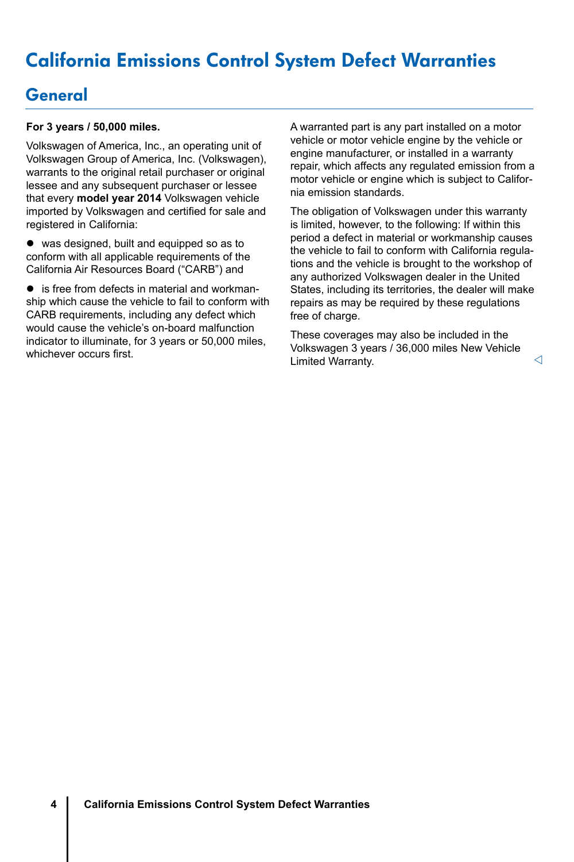# <span id="page-4-0"></span>California Emissions Control System Defect Warranties

### **General**

#### **For 3 years / 50,000 miles.**

Volkswagen of America, Inc., an operating unit of Volkswagen Group of America, Inc. (Volkswagen), warrants to the original retail purchaser or original lessee and any subsequent purchaser or lessee that every **model year 2014** Volkswagen vehicle imported by Volkswagen and certified for sale and registered in California:

 $\bullet$  was designed, built and equipped so as to conform with all applicable requirements of the California Air Resources Board ("CARB") and

 $\bullet$  is free from defects in material and workmanship which cause the vehicle to fail to conform with CARB requirements, including any defect which would cause the vehicle's on-board malfunction indicator to illuminate, for 3 years or 50,000 miles, whichever occurs first.

A warranted part is any part installed on a motor vehicle or motor vehicle engine by the vehicle or engine manufacturer, or installed in a warranty repair, which affects any regulated emission from a motor vehicle or engine which is subject to California emission standards.

The obligation of Volkswagen under this warranty is limited, however, to the following: If within this period a defect in material or workmanship causes the vehicle to fail to conform with California regulations and the vehicle is brought to the workshop of any authorized Volkswagen dealer in the United States, including its territories, the dealer will make repairs as may be required by these regulations free of charge.

These coverages may also be included in the Volkswagen 3 years / 36,000 miles New Vehicle Limited Warranty.

⊲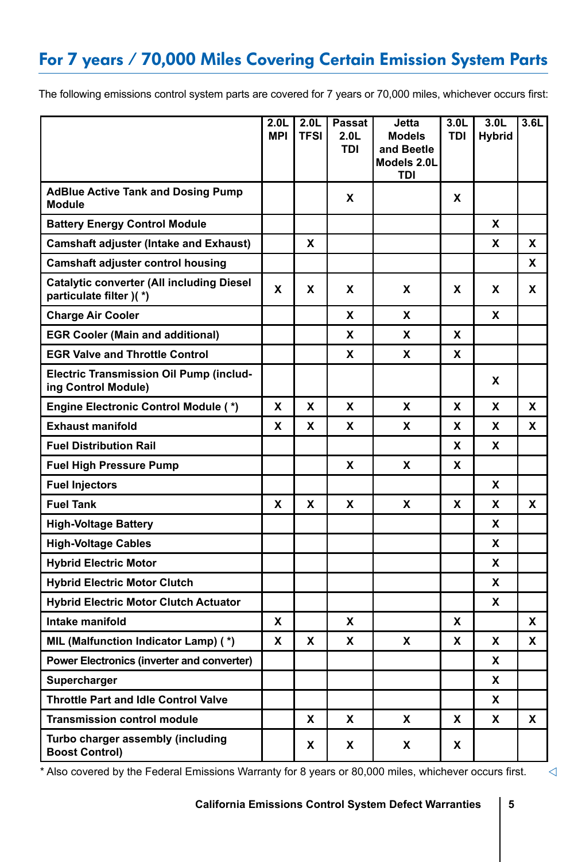# <span id="page-5-0"></span>For 7 years / 70,000 Miles Covering Certain Emission System Parts

The following emissions control system parts are covered for 7 years or 70,000 miles, whichever occurs first:

|                                                                       | 2.0 <sub>L</sub><br><b>MPI</b> | 2.0 <sub>L</sub><br><b>TFSI</b> | Passat<br>2.0 <sub>L</sub><br>TDI | Jetta<br><b>Models</b><br>and Beetle<br>Models 2.0L<br>TDI | 3.0 <sub>L</sub><br><b>TDI</b> | 3.0 <sub>L</sub><br><b>Hybrid</b> | 3.6L |
|-----------------------------------------------------------------------|--------------------------------|---------------------------------|-----------------------------------|------------------------------------------------------------|--------------------------------|-----------------------------------|------|
| <b>AdBlue Active Tank and Dosing Pump</b><br><b>Module</b>            |                                |                                 | x                                 |                                                            | x                              |                                   |      |
| <b>Battery Energy Control Module</b>                                  |                                |                                 |                                   |                                                            |                                | X                                 |      |
| <b>Camshaft adjuster (Intake and Exhaust)</b>                         |                                | x                               |                                   |                                                            |                                | x                                 | x    |
| Camshaft adjuster control housing                                     |                                |                                 |                                   |                                                            |                                |                                   | x    |
| Catalytic converter (All including Diesel<br>particulate filter )(*)  | x                              | x                               | x                                 | x                                                          | x                              | x                                 | X    |
| <b>Charge Air Cooler</b>                                              |                                |                                 | X                                 | X                                                          |                                | x                                 |      |
| <b>EGR Cooler (Main and additional)</b>                               |                                |                                 | x                                 | X                                                          | x                              |                                   |      |
| <b>EGR Valve and Throttle Control</b>                                 |                                |                                 | x                                 | X                                                          | x                              |                                   |      |
| <b>Electric Transmission Oil Pump (includ-</b><br>ing Control Module) |                                |                                 |                                   |                                                            |                                | x                                 |      |
| <b>Engine Electronic Control Module (*)</b>                           | X                              | x                               | X                                 | X                                                          | X                              | x                                 | X    |
| <b>Exhaust manifold</b>                                               | x                              | x                               | x                                 | X                                                          | x                              | x                                 | x    |
| <b>Fuel Distribution Rail</b>                                         |                                |                                 |                                   |                                                            | X                              | X                                 |      |
| <b>Fuel High Pressure Pump</b>                                        |                                |                                 | x                                 | X                                                          | x                              |                                   |      |
| <b>Fuel Injectors</b>                                                 |                                |                                 |                                   |                                                            |                                | x                                 |      |
| <b>Fuel Tank</b>                                                      | x                              | x                               | x                                 | x                                                          | x                              | x                                 | X    |
| <b>High-Voltage Battery</b>                                           |                                |                                 |                                   |                                                            |                                | x                                 |      |
| <b>High-Voltage Cables</b>                                            |                                |                                 |                                   |                                                            |                                | X                                 |      |
| <b>Hybrid Electric Motor</b>                                          |                                |                                 |                                   |                                                            |                                | x                                 |      |
| <b>Hybrid Electric Motor Clutch</b>                                   |                                |                                 |                                   |                                                            |                                | x                                 |      |
| <b>Hybrid Electric Motor Clutch Actuator</b>                          |                                |                                 |                                   |                                                            |                                | x                                 |      |
| Intake manifold                                                       | X                              |                                 | X                                 |                                                            | x                              |                                   | X    |
| MIL (Malfunction Indicator Lamp) (*)                                  | X                              | x                               | x                                 | X                                                          | X                              | X                                 | X    |
| Power Electronics (inverter and converter)                            |                                |                                 |                                   |                                                            |                                | x                                 |      |
| Supercharger                                                          |                                |                                 |                                   |                                                            |                                | x                                 |      |
| <b>Throttle Part and Idle Control Valve</b>                           |                                |                                 |                                   |                                                            |                                | X                                 |      |
| <b>Transmission control module</b>                                    |                                | x                               | x                                 | x                                                          | x                              | x                                 | X    |
| Turbo charger assembly (including<br><b>Boost Control)</b>            |                                | x                               | x                                 | X                                                          | x                              |                                   |      |

\* Also covered by the Federal Emissions Warranty for 8 years or 80,000 miles, whichever occurs first.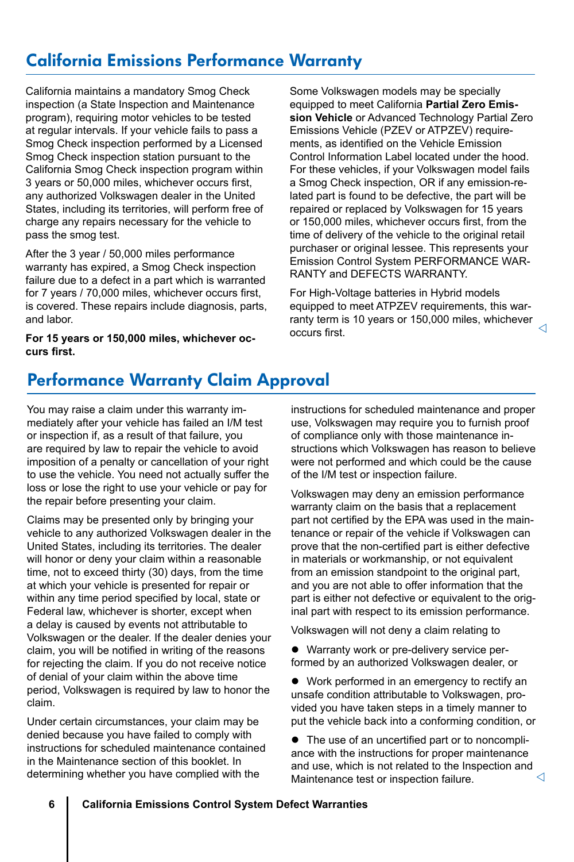# <span id="page-6-0"></span>California Emissions Performance Warranty

California maintains a mandatory Smog Check inspection (a State Inspection and Maintenance program), requiring motor vehicles to be tested at regular intervals. If your vehicle fails to pass a Smog Check inspection performed by a Licensed Smog Check inspection station pursuant to the California Smog Check inspection program within 3 years or 50,000 miles, whichever occurs first, any authorized Volkswagen dealer in the United States, including its territories, will perform free of charge any repairs necessary for the vehicle to pass the smog test.

After the 3 year / 50,000 miles performance warranty has expired, a Smog Check inspection failure due to a defect in a part which is warranted for 7 years / 70,000 miles, whichever occurs first, is covered. These repairs include diagnosis, parts, and labor.

**For 15 years or 150,000 miles, whichever occurs first.**

Some Volkswagen models may be specially equipped to meet California **Partial Zero Emission Vehicle** or Advanced Technology Partial Zero Emissions Vehicle (PZEV or ATPZEV) requirements, as identified on the Vehicle Emission Control Information Label located under the hood. For these vehicles, if your Volkswagen model fails a Smog Check inspection, OR if any emission-related part is found to be defective, the part will be repaired or replaced by Volkswagen for 15 years or 150,000 miles, whichever occurs first, from the time of delivery of the vehicle to the original retail purchaser or original lessee. This represents your Emission Control System PERFORMANCE WAR-RANTY and DEFECTS WARRANTY.

For High-Voltage batteries in Hybrid models equipped to meet ATPZEV requirements, this warranty term is 10 years or 150,000 miles, whichever occurs first. ◁

## Performance Warranty Claim Approval

You may raise a claim under this warranty immediately after your vehicle has failed an I/M test or inspection if, as a result of that failure, you are required by law to repair the vehicle to avoid imposition of a penalty or cancellation of your right to use the vehicle. You need not actually suffer the loss or lose the right to use your vehicle or pay for the repair before presenting your claim.

Claims may be presented only by bringing your vehicle to any authorized Volkswagen dealer in the United States, including its territories. The dealer will honor or deny your claim within a reasonable time, not to exceed thirty (30) days, from the time at which your vehicle is presented for repair or within any time period specified by local, state or Federal law, whichever is shorter, except when a delay is caused by events not attributable to Volkswagen or the dealer. If the dealer denies your claim, you will be notified in writing of the reasons for rejecting the claim. If you do not receive notice of denial of your claim within the above time period, Volkswagen is required by law to honor the claim.

Under certain circumstances, your claim may be denied because you have failed to comply with instructions for scheduled maintenance contained in the Maintenance section of this booklet. In determining whether you have complied with the

instructions for scheduled maintenance and proper use, Volkswagen may require you to furnish proof of compliance only with those maintenance instructions which Volkswagen has reason to believe were not performed and which could be the cause of the I/M test or inspection failure.

Volkswagen may deny an emission performance warranty claim on the basis that a replacement part not certified by the EPA was used in the maintenance or repair of the vehicle if Volkswagen can prove that the non-certified part is either defective in materials or workmanship, or not equivalent from an emission standpoint to the original part. and you are not able to offer information that the part is either not defective or equivalent to the original part with respect to its emission performance.

Volkswagen will not deny a claim relating to

• Warranty work or pre-delivery service performed by an authorized Volkswagen dealer, or

• Work performed in an emergency to rectify an unsafe condition attributable to Volkswagen, provided you have taken steps in a timely manner to put the vehicle back into a conforming condition, or

• The use of an uncertified part or to noncompliance with the instructions for proper maintenance and use, which is not related to the Inspection and Maintenance test or inspection failure.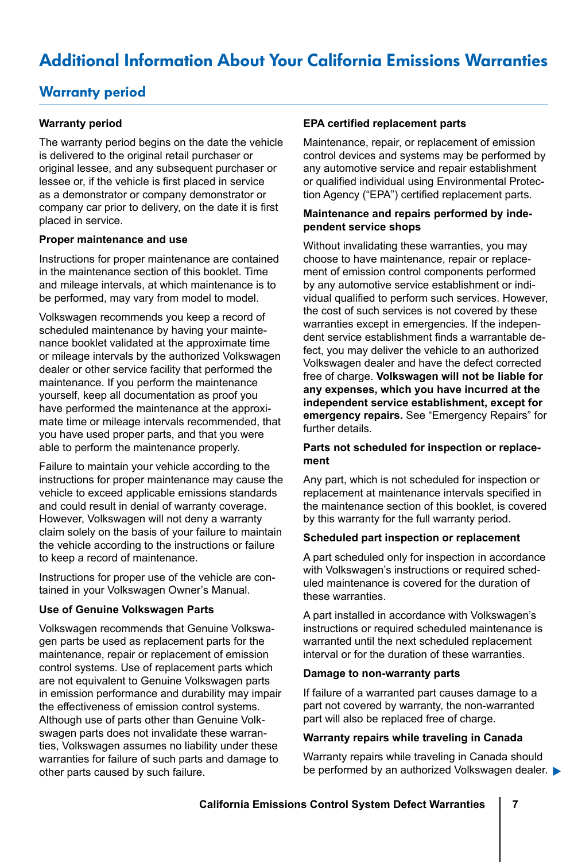# <span id="page-7-0"></span>Additional Information About Your California Emissions Warranties

### Warranty period

#### **Warranty period**

The warranty period begins on the date the vehicle is delivered to the original retail purchaser or original lessee, and any subsequent purchaser or lessee or, if the vehicle is first placed in service as a demonstrator or company demonstrator or company car prior to delivery, on the date it is first placed in service.

#### **Proper maintenance and use**

Instructions for proper maintenance are contained in the maintenance section of this booklet. Time and mileage intervals, at which maintenance is to be performed, may vary from model to model.

Volkswagen recommends you keep a record of scheduled maintenance by having your maintenance booklet validated at the approximate time or mileage intervals by the authorized Volkswagen dealer or other service facility that performed the maintenance. If you perform the maintenance yourself, keep all documentation as proof you have performed the maintenance at the approximate time or mileage intervals recommended, that you have used proper parts, and that you were able to perform the maintenance properly.

Failure to maintain your vehicle according to the instructions for proper maintenance may cause the vehicle to exceed applicable emissions standards and could result in denial of warranty coverage. However, Volkswagen will not deny a warranty claim solely on the basis of your failure to maintain the vehicle according to the instructions or failure to keep a record of maintenance.

Instructions for proper use of the vehicle are contained in your Volkswagen Owner's Manual.

#### **Use of Genuine Volkswagen Parts**

Volkswagen recommends that Genuine Volkswagen parts be used as replacement parts for the maintenance, repair or replacement of emission control systems. Use of replacement parts which are not equivalent to Genuine Volkswagen parts in emission performance and durability may impair the effectiveness of emission control systems. Although use of parts other than Genuine Volkswagen parts does not invalidate these warranties, Volkswagen assumes no liability under these warranties for failure of such parts and damage to other parts caused by such failure.

#### **EPA certified replacement parts**

Maintenance, repair, or replacement of emission control devices and systems may be performed by any automotive service and repair establishment or qualified individual using Environmental Protection Agency ("EPA") certified replacement parts.

#### **Maintenance and repairs performed by independent service shops**

Without invalidating these warranties, you may choose to have maintenance, repair or replacement of emission control components performed by any automotive service establishment or individual qualified to perform such services. However, the cost of such services is not covered by these warranties except in emergencies. If the independent service establishment finds a warrantable defect, you may deliver the vehicle to an authorized Volkswagen dealer and have the defect corrected free of charge. **Volkswagen will not be liable for any expenses, which you have incurred at the independent service establishment, except for emergency repairs.** See "Emergency Repairs" for further details.

#### **Parts not scheduled for inspection or replacement**

Any part, which is not scheduled for inspection or replacement at maintenance intervals specified in the maintenance section of this booklet, is covered by this warranty for the full warranty period.

#### **Scheduled part inspection or replacement**

A part scheduled only for inspection in accordance with Volkswagen's instructions or required scheduled maintenance is covered for the duration of these warranties.

A part installed in accordance with Volkswagen's instructions or required scheduled maintenance is warranted until the next scheduled replacement interval or for the duration of these warranties.

#### **Damage to non-warranty parts**

If failure of a warranted part causes damage to a part not covered by warranty, the non-warranted part will also be replaced free of charge.

#### **Warranty repairs while traveling in Canada**

be performed by an authorized Volkswagen dealer. Warranty repairs while traveling in Canada should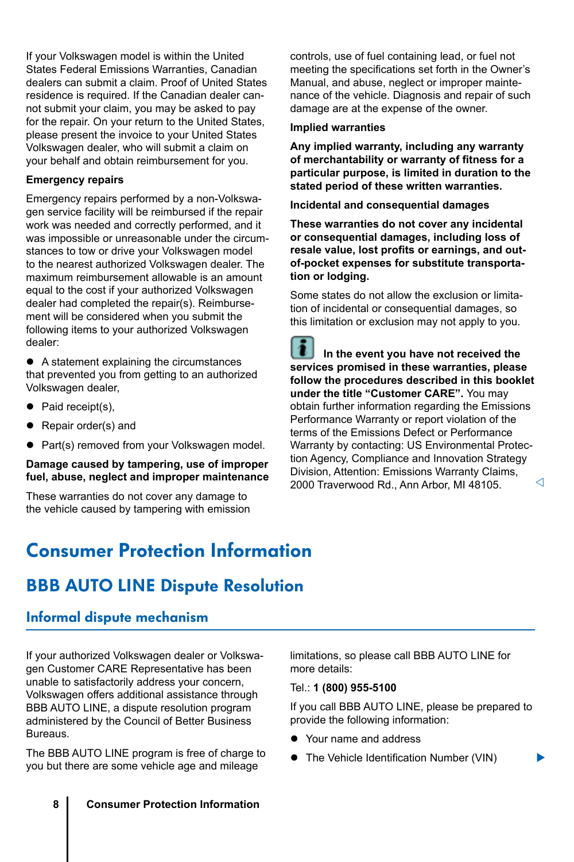<span id="page-8-0"></span>If your Volkswagen model is within the United States Federal Emissions Warranties, Canadian dealers can submit a claim. Proof of United States residence is required. If the Canadian dealer cannot submit your claim, you may be asked to pay for the repair. On your return to the United States, please present the invoice to your United States Volkswagen dealer, who will submit a claim on your behalf and obtain reimbursement for you.

#### **Emergency repairs**

Emergency repairs performed by a non-Volkswagen service facility will be reimbursed if the repair work was needed and correctly performed, and it was impossible or unreasonable under the circumstances to tow or drive your Volkswagen model to the nearest authorized Volkswagen dealer. The maximum reimbursement allowable is an amount equal to the cost if your authorized Volkswagen dealer had completed the repair(s). Reimbursement will be considered when you submit the following items to your authorized Volkswagen dealer:

• A statement explaining the circumstances that prevented you from getting to an authorized Volkswagen dealer,

- $\bullet$  Paid receipt(s),
- Repair order(s) and
- Part(s) removed from your Volkswagen model.

#### **Damage caused by tampering, use of improper fuel, abuse, neglect and improper maintenance**

These warranties do not cover any damage to the vehicle caused by tampering with emission controls, use of fuel containing lead, or fuel not meeting the specifications set forth in the Owner's Manual, and abuse, neglect or improper maintenance of the vehicle. Diagnosis and repair of such damage are at the expense of the owner.

#### **Implied warranties**

**Any implied warranty, including any warranty of merchantability or warranty of fitness for a particular purpose, is limited in duration to the stated period of these written warranties.**

**Incidental and consequential damages**

**These warranties do not cover any incidental or consequential damages, including loss of resale value, lost profits or earnings, and outof-pocket expenses for substitute transportation or lodging.**

Some states do not allow the exclusion or limitation of incidental or consequential damages, so this limitation or exclusion may not apply to you.

 **In the event you have not received the services promised in these warranties, please follow the procedures described in this booklet under the title "Customer CARE".** You may obtain further information regarding the Emissions Performance Warranty or report violation of the terms of the Emissions Defect or Performance Warranty by contacting: US Environmental Protection Agency, Compliance and Innovation Strategy Division, Attention: Emissions Warranty Claims, 2000 Traverwood Rd., Ann Arbor, MI 48105. ◁

# Consumer Protection Information

### BBB AUTO LINE Dispute Resolution

#### Informal dispute mechanism

If your authorized Volkswagen dealer or Volkswagen Customer CARE Representative has been unable to satisfactorily address your concern, Volkswagen offers additional assistance through BBB AUTO LINE, a dispute resolution program administered by the Council of Better Business Bureaus.

The BBB AUTO LINE program is free of charge to you but there are some vehicle age and mileage

limitations, so please call BBB AUTO LINE for more details:

#### Tel.: **1 (800) 955-5100**

If you call BBB AUTO LINE, please be prepared to provide the following information:

▶

- Your name and address
- The Vehicle Identification Number (VIN)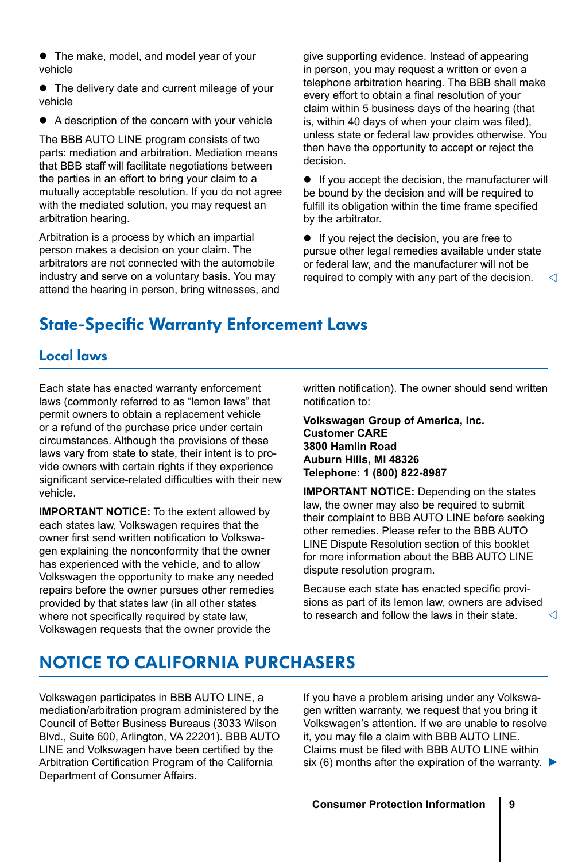- <span id="page-9-0"></span>• The make, model, and model year of your vehicle
- The delivery date and current mileage of your vehicle
- A description of the concern with your vehicle

The BBB AUTO LINE program consists of two parts: mediation and arbitration. Mediation means that BBB staff will facilitate negotiations between the parties in an effort to bring your claim to a mutually acceptable resolution. If you do not agree with the mediated solution, you may request an arbitration hearing.

Arbitration is a process by which an impartial person makes a decision on your claim. The arbitrators are not connected with the automobile industry and serve on a voluntary basis. You may attend the hearing in person, bring witnesses, and

give supporting evidence. Instead of appearing in person, you may request a written or even a telephone arbitration hearing. The BBB shall make every effort to obtain a final resolution of your claim within 5 business days of the hearing (that is, within 40 days of when your claim was filed), unless state or federal law provides otherwise. You then have the opportunity to accept or reject the decision.

 $\bullet$  If you accept the decision, the manufacturer will be bound by the decision and will be required to fulfill its obligation within the time frame specified by the arbitrator.

◁  $\bullet$  If you reject the decision, you are free to pursue other legal remedies available under state or federal law, and the manufacturer will not be required to comply with any part of the decision.

### State-Specific Warranty Enforcement Laws

### Local laws

Each state has enacted warranty enforcement laws (commonly referred to as "lemon laws" that permit owners to obtain a replacement vehicle or a refund of the purchase price under certain circumstances. Although the provisions of these laws vary from state to state, their intent is to provide owners with certain rights if they experience significant service-related difficulties with their new vehicle.

**IMPORTANT NOTICE:** To the extent allowed by each states law, Volkswagen requires that the owner first send written notification to Volkswagen explaining the nonconformity that the owner has experienced with the vehicle, and to allow Volkswagen the opportunity to make any needed repairs before the owner pursues other remedies provided by that states law (in all other states where not specifically required by state law. Volkswagen requests that the owner provide the

written notification). The owner should send written notification to:

**Volkswagen Group of America, Inc. Customer CARE 3800 Hamlin Road Auburn Hills, MI 48326 Telephone: 1 (800) 822-8987**

**IMPORTANT NOTICE:** Depending on the states law, the owner may also be required to submit their complaint to BBB AUTO LINE before seeking other remedies. Please refer to the BBB AUTO LINE Dispute Resolution section of this booklet for more information about the BBB AUTO LINE dispute resolution program.

Because each state has enacted specific provisions as part of its lemon law, owners are advised to research and follow the laws in their state.

⊲

### NOTICE TO CALIFORNIA PURCHASERS

Volkswagen participates in BBB AUTO LINE, a mediation/arbitration program administered by the Council of Better Business Bureaus (3033 Wilson Blvd., Suite 600, Arlington, VA 22201). BBB AUTO LINE and Volkswagen have been certified by the Arbitration Certification Program of the California Department of Consumer Affairs.

six (6) months after the expiration of the warranty.  $\blacktriangleright$ If you have a problem arising under any Volkswagen written warranty, we request that you bring it Volkswagen's attention. If we are unable to resolve it, you may file a claim with BBB AUTO LINE. Claims must be filed with BBB AUTO LINE within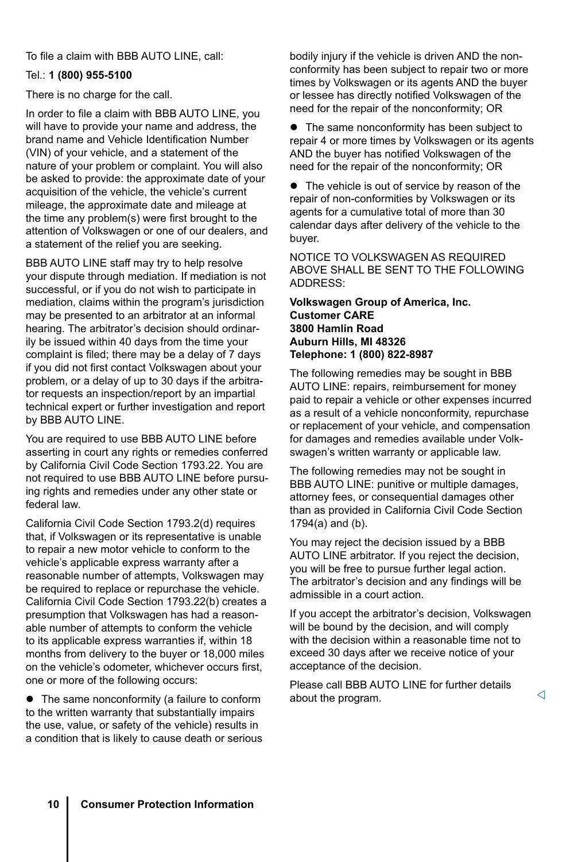To file a claim with BBB AUTO LINE, call:

#### Tel.: **1 (800) 955-5100**

There is no charge for the call.

In order to file a claim with BBB AUTO LINE, you will have to provide your name and address, the brand name and Vehicle Identification Number (VIN) of your vehicle, and a statement of the nature of your problem or complaint. You will also be asked to provide: the approximate date of your acquisition of the vehicle, the vehicle's current mileage, the approximate date and mileage at the time any problem(s) were first brought to the attention of Volkswagen or one of our dealers, and a statement of the relief you are seeking.

BBB AUTO LINE staff may try to help resolve your dispute through mediation. If mediation is not successful, or if you do not wish to participate in mediation, claims within the program's jurisdiction may be presented to an arbitrator at an informal hearing. The arbitrator's decision should ordinarily be issued within 40 days from the time your complaint is filed; there may be a delay of 7 days if you did not first contact Volkswagen about your problem, or a delay of up to 30 days if the arbitrator requests an inspection/report by an impartial technical expert or further investigation and report by BBB AUTO LINE.

You are required to use BBB AUTO LINE before asserting in court any rights or remedies conferred by California Civil Code Section 1793.22. You are not required to use BBB AUTO LINE before pursuing rights and remedies under any other state or federal law.

California Civil Code Section 1793.2(d) requires that, if Volkswagen or its representative is unable to repair a new motor vehicle to conform to the vehicle's applicable express warranty after a reasonable number of attempts, Volkswagen may be required to replace or repurchase the vehicle. California Civil Code Section 1793.22(b) creates a presumption that Volkswagen has had a reasonable number of attempts to conform the vehicle to its applicable express warranties if, within 18 months from delivery to the buyer or 18,000 miles on the vehicle's odometer, whichever occurs first, one or more of the following occurs:

• The same nonconformity (a failure to conform to the written warranty that substantially impairs the use, value, or safety of the vehicle) results in a condition that is likely to cause death or serious bodily injury if the vehicle is driven AND the nonconformity has been subject to repair two or more times by Volkswagen or its agents AND the buyer or lessee has directly notified Volkswagen of the need for the repair of the nonconformity; OR

• The same nonconformity has been subject to repair 4 or more times by Volkswagen or its agents AND the buyer has notified Volkswagen of the need for the repair of the nonconformity; OR

• The vehicle is out of service by reason of the repair of non-conformities by Volkswagen or its agents for a cumulative total of more than 30 calendar days after delivery of the vehicle to the buyer.

NOTICE TO VOLKSWAGEN AS REQUIRED ABOVE SHALL BE SENT TO THE FOLLOWING ADDRESS:

#### **Volkswagen Group of America, Inc. Customer CARE 3800 Hamlin Road Auburn Hills, MI 48326 Telephone: 1 (800) 822-8987**

The following remedies may be sought in BBB AUTO LINE: repairs, reimbursement for money paid to repair a vehicle or other expenses incurred as a result of a vehicle nonconformity, repurchase or replacement of your vehicle, and compensation for damages and remedies available under Volkswagen's written warranty or applicable law.

The following remedies may not be sought in BBB AUTO LINE: punitive or multiple damages, attorney fees, or consequential damages other than as provided in California Civil Code Section 1794(a) and (b).

You may reject the decision issued by a BBB AUTO LINE arbitrator. If you reject the decision, you will be free to pursue further legal action. The arbitrator's decision and any findings will be admissible in a court action.

If you accept the arbitrator's decision, Volkswagen will be bound by the decision, and will comply with the decision within a reasonable time not to exceed 30 days after we receive notice of your acceptance of the decision.

Please call BBB AUTO LINE for further details about the program.